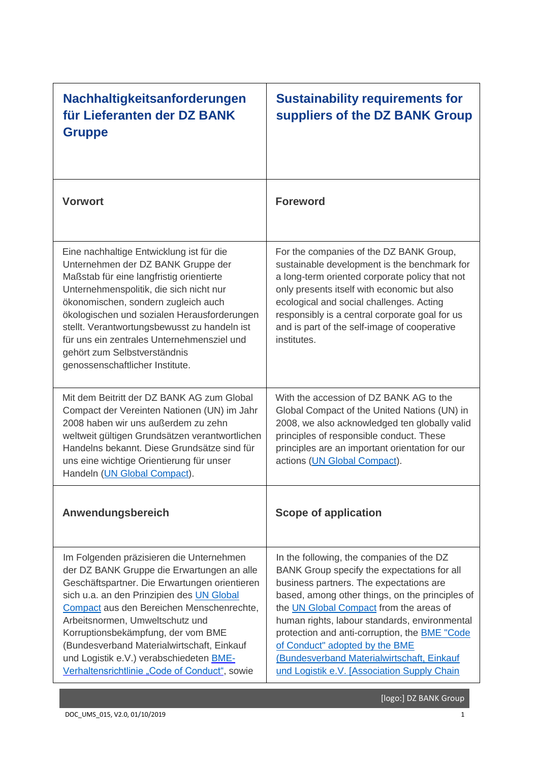| Nachhaltigkeitsanforderungen<br>für Lieferanten der DZ BANK<br><b>Gruppe</b>                                                                                                                                                                                                                                                                                                                                                                         | <b>Sustainability requirements for</b><br>suppliers of the DZ BANK Group                                                                                                                                                                                                                                                                                                                                                                                                  |
|------------------------------------------------------------------------------------------------------------------------------------------------------------------------------------------------------------------------------------------------------------------------------------------------------------------------------------------------------------------------------------------------------------------------------------------------------|---------------------------------------------------------------------------------------------------------------------------------------------------------------------------------------------------------------------------------------------------------------------------------------------------------------------------------------------------------------------------------------------------------------------------------------------------------------------------|
| <b>Vorwort</b>                                                                                                                                                                                                                                                                                                                                                                                                                                       | <b>Foreword</b>                                                                                                                                                                                                                                                                                                                                                                                                                                                           |
| Eine nachhaltige Entwicklung ist für die<br>Unternehmen der DZ BANK Gruppe der<br>Maßstab für eine langfristig orientierte<br>Unternehmenspolitik, die sich nicht nur<br>ökonomischen, sondern zugleich auch<br>ökologischen und sozialen Herausforderungen<br>stellt. Verantwortungsbewusst zu handeln ist<br>für uns ein zentrales Unternehmensziel und<br>gehört zum Selbstverständnis<br>genossenschaftlicher Institute.                         | For the companies of the DZ BANK Group,<br>sustainable development is the benchmark for<br>a long-term oriented corporate policy that not<br>only presents itself with economic but also<br>ecological and social challenges. Acting<br>responsibly is a central corporate goal for us<br>and is part of the self-image of cooperative<br>institutes.                                                                                                                     |
| Mit dem Beitritt der DZ BANK AG zum Global<br>Compact der Vereinten Nationen (UN) im Jahr<br>2008 haben wir uns außerdem zu zehn<br>weltweit gültigen Grundsätzen verantwortlichen<br>Handelns bekannt. Diese Grundsätze sind für<br>uns eine wichtige Orientierung für unser<br>Handeln (UN Global Compact).                                                                                                                                        | With the accession of DZ BANK AG to the<br>Global Compact of the United Nations (UN) in<br>2008, we also acknowledged ten globally valid<br>principles of responsible conduct. These<br>principles are an important orientation for our<br>actions (UN Global Compact).                                                                                                                                                                                                   |
| Anwendungsbereich                                                                                                                                                                                                                                                                                                                                                                                                                                    | <b>Scope of application</b>                                                                                                                                                                                                                                                                                                                                                                                                                                               |
| Im Folgenden präzisieren die Unternehmen<br>der DZ BANK Gruppe die Erwartungen an alle<br>Geschäftspartner. Die Erwartungen orientieren<br>sich u.a. an den Prinzipien des UN Global<br>Compact aus den Bereichen Menschenrechte,<br>Arbeitsnormen, Umweltschutz und<br>Korruptionsbekämpfung, der vom BME<br>(Bundesverband Materialwirtschaft, Einkauf<br>und Logistik e.V.) verabschiedeten BME-<br>Verhaltensrichtlinie "Code of Conduct", sowie | In the following, the companies of the DZ<br>BANK Group specify the expectations for all<br>business partners. The expectations are<br>based, among other things, on the principles of<br>the UN Global Compact from the areas of<br>human rights, labour standards, environmental<br>protection and anti-corruption, the <b>BME</b> "Code<br>of Conduct" adopted by the BME<br>(Bundesverband Materialwirtschaft, Einkauf<br>und Logistik e.V. [Association Supply Chain |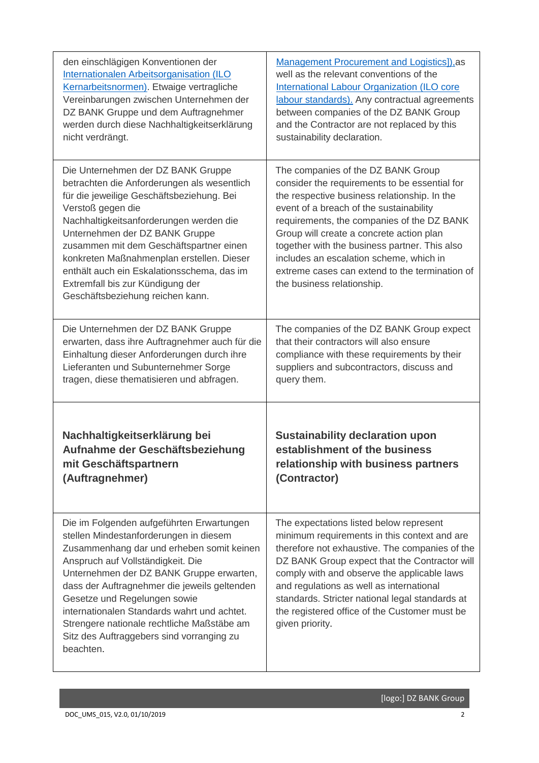| den einschlägigen Konventionen der                                                                                                                                                                                                                                                                                                                                                                                                             | <b>Management Procurement and Logistics]), as</b>                                                                                                                                                                                                                                                                                                                                                                                                    |
|------------------------------------------------------------------------------------------------------------------------------------------------------------------------------------------------------------------------------------------------------------------------------------------------------------------------------------------------------------------------------------------------------------------------------------------------|------------------------------------------------------------------------------------------------------------------------------------------------------------------------------------------------------------------------------------------------------------------------------------------------------------------------------------------------------------------------------------------------------------------------------------------------------|
| Internationalen Arbeitsorganisation (ILO                                                                                                                                                                                                                                                                                                                                                                                                       | well as the relevant conventions of the                                                                                                                                                                                                                                                                                                                                                                                                              |
| Kernarbeitsnormen). Etwaige vertragliche                                                                                                                                                                                                                                                                                                                                                                                                       | International Labour Organization (ILO core                                                                                                                                                                                                                                                                                                                                                                                                          |
| Vereinbarungen zwischen Unternehmen der                                                                                                                                                                                                                                                                                                                                                                                                        | labour standards). Any contractual agreements                                                                                                                                                                                                                                                                                                                                                                                                        |
| DZ BANK Gruppe und dem Auftragnehmer                                                                                                                                                                                                                                                                                                                                                                                                           | between companies of the DZ BANK Group                                                                                                                                                                                                                                                                                                                                                                                                               |
| werden durch diese Nachhaltigkeitserklärung                                                                                                                                                                                                                                                                                                                                                                                                    | and the Contractor are not replaced by this                                                                                                                                                                                                                                                                                                                                                                                                          |
| nicht verdrängt.                                                                                                                                                                                                                                                                                                                                                                                                                               | sustainability declaration.                                                                                                                                                                                                                                                                                                                                                                                                                          |
| Die Unternehmen der DZ BANK Gruppe<br>betrachten die Anforderungen als wesentlich<br>für die jeweilige Geschäftsbeziehung. Bei<br>Verstoß gegen die<br>Nachhaltigkeitsanforderungen werden die<br>Unternehmen der DZ BANK Gruppe<br>zusammen mit dem Geschäftspartner einen<br>konkreten Maßnahmenplan erstellen. Dieser<br>enthält auch ein Eskalationsschema, das im<br>Extremfall bis zur Kündigung der<br>Geschäftsbeziehung reichen kann. | The companies of the DZ BANK Group<br>consider the requirements to be essential for<br>the respective business relationship. In the<br>event of a breach of the sustainability<br>requirements, the companies of the DZ BANK<br>Group will create a concrete action plan<br>together with the business partner. This also<br>includes an escalation scheme, which in<br>extreme cases can extend to the termination of<br>the business relationship. |
| Die Unternehmen der DZ BANK Gruppe                                                                                                                                                                                                                                                                                                                                                                                                             | The companies of the DZ BANK Group expect                                                                                                                                                                                                                                                                                                                                                                                                            |
| erwarten, dass ihre Auftragnehmer auch für die                                                                                                                                                                                                                                                                                                                                                                                                 | that their contractors will also ensure                                                                                                                                                                                                                                                                                                                                                                                                              |
| Einhaltung dieser Anforderungen durch ihre                                                                                                                                                                                                                                                                                                                                                                                                     | compliance with these requirements by their                                                                                                                                                                                                                                                                                                                                                                                                          |
| Lieferanten und Subunternehmer Sorge                                                                                                                                                                                                                                                                                                                                                                                                           | suppliers and subcontractors, discuss and                                                                                                                                                                                                                                                                                                                                                                                                            |
| tragen, diese thematisieren und abfragen.                                                                                                                                                                                                                                                                                                                                                                                                      | query them.                                                                                                                                                                                                                                                                                                                                                                                                                                          |
| Nachhaltigkeitserklärung bei                                                                                                                                                                                                                                                                                                                                                                                                                   | <b>Sustainability declaration upon</b>                                                                                                                                                                                                                                                                                                                                                                                                               |
| Aufnahme der Geschäftsbeziehung                                                                                                                                                                                                                                                                                                                                                                                                                | establishment of the business                                                                                                                                                                                                                                                                                                                                                                                                                        |
| mit Geschäftspartnern                                                                                                                                                                                                                                                                                                                                                                                                                          | relationship with business partners                                                                                                                                                                                                                                                                                                                                                                                                                  |
| (Auftragnehmer)                                                                                                                                                                                                                                                                                                                                                                                                                                | (Contractor)                                                                                                                                                                                                                                                                                                                                                                                                                                         |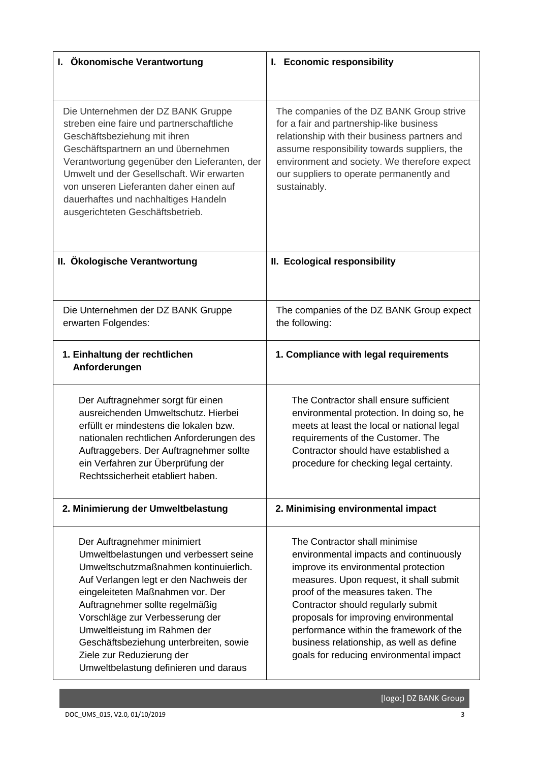| I. Ökonomische Verantwortung                                                                                                                                                                                                                                                                                                                                                                                       | I. Economic responsibility                                                                                                                                                                                                                                                                                                                                                                                      |
|--------------------------------------------------------------------------------------------------------------------------------------------------------------------------------------------------------------------------------------------------------------------------------------------------------------------------------------------------------------------------------------------------------------------|-----------------------------------------------------------------------------------------------------------------------------------------------------------------------------------------------------------------------------------------------------------------------------------------------------------------------------------------------------------------------------------------------------------------|
|                                                                                                                                                                                                                                                                                                                                                                                                                    |                                                                                                                                                                                                                                                                                                                                                                                                                 |
| Die Unternehmen der DZ BANK Gruppe<br>streben eine faire und partnerschaftliche<br>Geschäftsbeziehung mit ihren<br>Geschäftspartnern an und übernehmen<br>Verantwortung gegenüber den Lieferanten, der<br>Umwelt und der Gesellschaft. Wir erwarten<br>von unseren Lieferanten daher einen auf<br>dauerhaftes und nachhaltiges Handeln<br>ausgerichteten Geschäftsbetrieb.                                         | The companies of the DZ BANK Group strive<br>for a fair and partnership-like business<br>relationship with their business partners and<br>assume responsibility towards suppliers, the<br>environment and society. We therefore expect<br>our suppliers to operate permanently and<br>sustainably.                                                                                                              |
| II. Ökologische Verantwortung                                                                                                                                                                                                                                                                                                                                                                                      | II. Ecological responsibility                                                                                                                                                                                                                                                                                                                                                                                   |
| Die Unternehmen der DZ BANK Gruppe<br>erwarten Folgendes:                                                                                                                                                                                                                                                                                                                                                          | The companies of the DZ BANK Group expect<br>the following:                                                                                                                                                                                                                                                                                                                                                     |
| 1. Einhaltung der rechtlichen<br>Anforderungen                                                                                                                                                                                                                                                                                                                                                                     | 1. Compliance with legal requirements                                                                                                                                                                                                                                                                                                                                                                           |
| Der Auftragnehmer sorgt für einen<br>ausreichenden Umweltschutz. Hierbei<br>erfüllt er mindestens die lokalen bzw.<br>nationalen rechtlichen Anforderungen des<br>Auftraggebers. Der Auftragnehmer sollte<br>ein Verfahren zur Überprüfung der<br>Rechtssicherheit etabliert haben.                                                                                                                                | The Contractor shall ensure sufficient<br>environmental protection. In doing so, he<br>meets at least the local or national legal<br>requirements of the Customer. The<br>Contractor should have established a<br>procedure for checking legal certainty.                                                                                                                                                       |
| 2. Minimierung der Umweltbelastung                                                                                                                                                                                                                                                                                                                                                                                 | 2. Minimising environmental impact                                                                                                                                                                                                                                                                                                                                                                              |
| Der Auftragnehmer minimiert<br>Umweltbelastungen und verbessert seine<br>Umweltschutzmaßnahmen kontinuierlich.<br>Auf Verlangen legt er den Nachweis der<br>eingeleiteten Maßnahmen vor. Der<br>Auftragnehmer sollte regelmäßig<br>Vorschläge zur Verbesserung der<br>Umweltleistung im Rahmen der<br>Geschäftsbeziehung unterbreiten, sowie<br>Ziele zur Reduzierung der<br>Umweltbelastung definieren und daraus | The Contractor shall minimise<br>environmental impacts and continuously<br>improve its environmental protection<br>measures. Upon request, it shall submit<br>proof of the measures taken. The<br>Contractor should regularly submit<br>proposals for improving environmental<br>performance within the framework of the<br>business relationship, as well as define<br>goals for reducing environmental impact |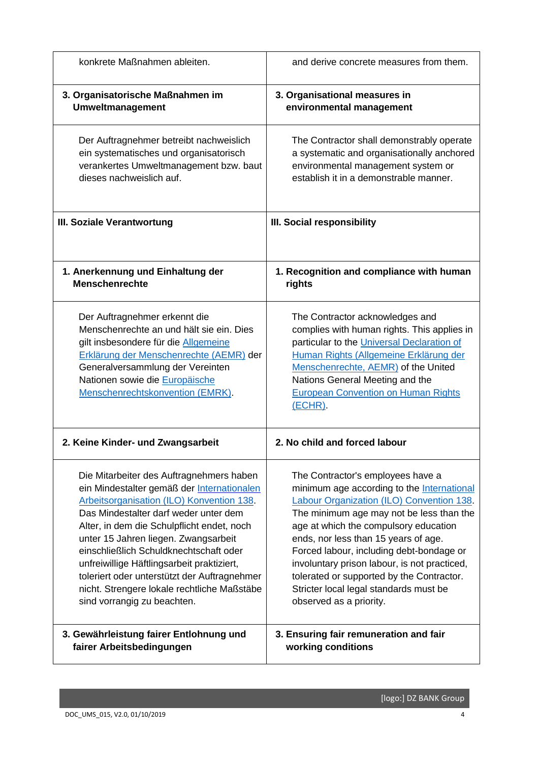| konkrete Maßnahmen ableiten.                                                                                                                                                                                                                                           | and derive concrete measures from them.                                                                                                                                                                                                                                                                           |
|------------------------------------------------------------------------------------------------------------------------------------------------------------------------------------------------------------------------------------------------------------------------|-------------------------------------------------------------------------------------------------------------------------------------------------------------------------------------------------------------------------------------------------------------------------------------------------------------------|
| 3. Organisatorische Maßnahmen im                                                                                                                                                                                                                                       | 3. Organisational measures in                                                                                                                                                                                                                                                                                     |
| Umweltmanagement                                                                                                                                                                                                                                                       | environmental management                                                                                                                                                                                                                                                                                          |
| Der Auftragnehmer betreibt nachweislich                                                                                                                                                                                                                                | The Contractor shall demonstrably operate                                                                                                                                                                                                                                                                         |
| ein systematisches und organisatorisch                                                                                                                                                                                                                                 | a systematic and organisationally anchored                                                                                                                                                                                                                                                                        |
| verankertes Umweltmanagement bzw. baut                                                                                                                                                                                                                                 | environmental management system or                                                                                                                                                                                                                                                                                |
| dieses nachweislich auf.                                                                                                                                                                                                                                               | establish it in a demonstrable manner.                                                                                                                                                                                                                                                                            |
| III. Soziale Verantwortung                                                                                                                                                                                                                                             | III. Social responsibility                                                                                                                                                                                                                                                                                        |
| 1. Anerkennung und Einhaltung der                                                                                                                                                                                                                                      | 1. Recognition and compliance with human                                                                                                                                                                                                                                                                          |
| <b>Menschenrechte</b>                                                                                                                                                                                                                                                  | rights                                                                                                                                                                                                                                                                                                            |
| Der Auftragnehmer erkennt die<br>Menschenrechte an und hält sie ein. Dies<br>gilt insbesondere für die Allgemeine<br>Erklärung der Menschenrechte (AEMR) der<br>Generalversammlung der Vereinten<br>Nationen sowie die Europäische<br>Menschenrechtskonvention (EMRK). | The Contractor acknowledges and<br>complies with human rights. This applies in<br>particular to the Universal Declaration of<br>Human Rights (Allgemeine Erklärung der<br>Menschenrechte, AEMR) of the United<br>Nations General Meeting and the<br><b>European Convention on Human Rights</b><br><u>(ECHR)</u> . |
| 2. Keine Kinder- und Zwangsarbeit                                                                                                                                                                                                                                      | 2. No child and forced labour                                                                                                                                                                                                                                                                                     |
| Die Mitarbeiter des Auftragnehmers haben                                                                                                                                                                                                                               | The Contractor's employees have a                                                                                                                                                                                                                                                                                 |
| ein Mindestalter gemäß der Internationalen                                                                                                                                                                                                                             | minimum age according to the International                                                                                                                                                                                                                                                                        |
| Arbeitsorganisation (ILO) Konvention 138.                                                                                                                                                                                                                              | <b>Labour Organization (ILO) Convention 138</b>                                                                                                                                                                                                                                                                   |
| Das Mindestalter darf weder unter dem                                                                                                                                                                                                                                  | The minimum age may not be less than the                                                                                                                                                                                                                                                                          |
| Alter, in dem die Schulpflicht endet, noch                                                                                                                                                                                                                             | age at which the compulsory education                                                                                                                                                                                                                                                                             |
| unter 15 Jahren liegen. Zwangsarbeit                                                                                                                                                                                                                                   | ends, nor less than 15 years of age.                                                                                                                                                                                                                                                                              |
| einschließlich Schuldknechtschaft oder                                                                                                                                                                                                                                 | Forced labour, including debt-bondage or                                                                                                                                                                                                                                                                          |
| unfreiwillige Häftlingsarbeit praktiziert,                                                                                                                                                                                                                             | involuntary prison labour, is not practiced,                                                                                                                                                                                                                                                                      |
| toleriert oder unterstützt der Auftragnehmer                                                                                                                                                                                                                           | tolerated or supported by the Contractor.                                                                                                                                                                                                                                                                         |
| nicht. Strengere lokale rechtliche Maßstäbe                                                                                                                                                                                                                            | Stricter local legal standards must be                                                                                                                                                                                                                                                                            |
| sind vorrangig zu beachten.                                                                                                                                                                                                                                            | observed as a priority.                                                                                                                                                                                                                                                                                           |
| 3. Gewährleistung fairer Entlohnung und                                                                                                                                                                                                                                | 3. Ensuring fair remuneration and fair                                                                                                                                                                                                                                                                            |
| fairer Arbeitsbedingungen                                                                                                                                                                                                                                              | working conditions                                                                                                                                                                                                                                                                                                |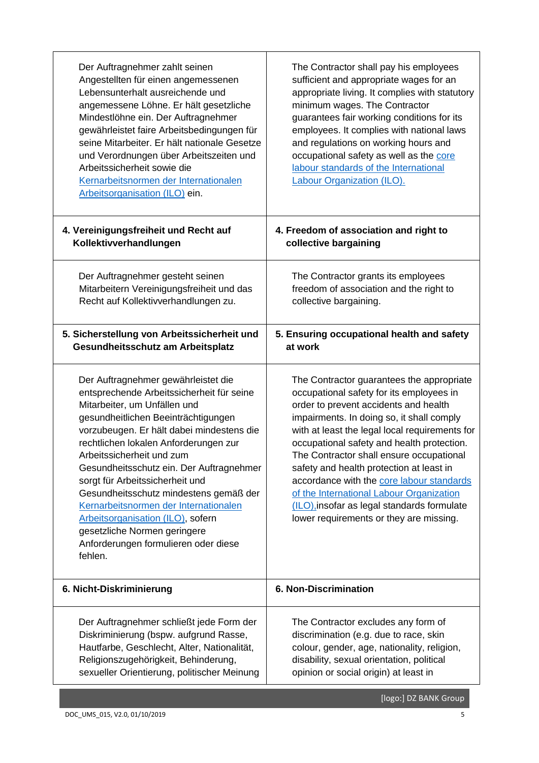| Der Auftragnehmer zahlt seinen<br>Angestellten für einen angemessenen<br>Lebensunterhalt ausreichende und<br>angemessene Löhne. Er hält gesetzliche<br>Mindestlöhne ein. Der Auftragnehmer<br>gewährleistet faire Arbeitsbedingungen für<br>seine Mitarbeiter. Er hält nationale Gesetze<br>und Verordnungen über Arbeitszeiten und<br>Arbeitssicherheit sowie die<br>Kernarbeitsnormen der Internationalen<br>Arbeitsorganisation (ILO) ein.                                                                                                                        | The Contractor shall pay his employees<br>sufficient and appropriate wages for an<br>appropriate living. It complies with statutory<br>minimum wages. The Contractor<br>guarantees fair working conditions for its<br>employees. It complies with national laws<br>and regulations on working hours and<br>occupational safety as well as the core<br>labour standards of the International<br><b>Labour Organization (ILO).</b>                                                                                                                       |
|----------------------------------------------------------------------------------------------------------------------------------------------------------------------------------------------------------------------------------------------------------------------------------------------------------------------------------------------------------------------------------------------------------------------------------------------------------------------------------------------------------------------------------------------------------------------|--------------------------------------------------------------------------------------------------------------------------------------------------------------------------------------------------------------------------------------------------------------------------------------------------------------------------------------------------------------------------------------------------------------------------------------------------------------------------------------------------------------------------------------------------------|
| 4. Vereinigungsfreiheit und Recht auf                                                                                                                                                                                                                                                                                                                                                                                                                                                                                                                                | 4. Freedom of association and right to                                                                                                                                                                                                                                                                                                                                                                                                                                                                                                                 |
| Kollektivverhandlungen                                                                                                                                                                                                                                                                                                                                                                                                                                                                                                                                               | collective bargaining                                                                                                                                                                                                                                                                                                                                                                                                                                                                                                                                  |
| Der Auftragnehmer gesteht seinen                                                                                                                                                                                                                                                                                                                                                                                                                                                                                                                                     | The Contractor grants its employees                                                                                                                                                                                                                                                                                                                                                                                                                                                                                                                    |
| Mitarbeitern Vereinigungsfreiheit und das                                                                                                                                                                                                                                                                                                                                                                                                                                                                                                                            | freedom of association and the right to                                                                                                                                                                                                                                                                                                                                                                                                                                                                                                                |
| Recht auf Kollektivverhandlungen zu.                                                                                                                                                                                                                                                                                                                                                                                                                                                                                                                                 | collective bargaining.                                                                                                                                                                                                                                                                                                                                                                                                                                                                                                                                 |
| 5. Sicherstellung von Arbeitssicherheit und                                                                                                                                                                                                                                                                                                                                                                                                                                                                                                                          | 5. Ensuring occupational health and safety                                                                                                                                                                                                                                                                                                                                                                                                                                                                                                             |
| Gesundheitsschutz am Arbeitsplatz                                                                                                                                                                                                                                                                                                                                                                                                                                                                                                                                    | at work                                                                                                                                                                                                                                                                                                                                                                                                                                                                                                                                                |
| Der Auftragnehmer gewährleistet die<br>entsprechende Arbeitssicherheit für seine<br>Mitarbeiter, um Unfällen und<br>gesundheitlichen Beeinträchtigungen<br>vorzubeugen. Er hält dabei mindestens die<br>rechtlichen lokalen Anforderungen zur<br>Arbeitssicherheit und zum<br>Gesundheitsschutz ein. Der Auftragnehmer<br>sorgt für Arbeitssicherheit und<br>Gesundheitsschutz mindestens gemäß der<br>Kernarbeitsnormen der Internationalen<br>Arbeitsorganisation (ILO), sofern<br>gesetzliche Normen geringere<br>Anforderungen formulieren oder diese<br>fehlen. | The Contractor guarantees the appropriate<br>occupational safety for its employees in<br>order to prevent accidents and health<br>impairments. In doing so, it shall comply<br>with at least the legal local requirements for<br>occupational safety and health protection.<br>The Contractor shall ensure occupational<br>safety and health protection at least in<br>accordance with the core labour standards<br>of the International Labour Organization<br>(ILO), insofar as legal standards formulate<br>lower requirements or they are missing. |
| 6. Nicht-Diskriminierung                                                                                                                                                                                                                                                                                                                                                                                                                                                                                                                                             | 6. Non-Discrimination                                                                                                                                                                                                                                                                                                                                                                                                                                                                                                                                  |
| Der Auftragnehmer schließt jede Form der                                                                                                                                                                                                                                                                                                                                                                                                                                                                                                                             | The Contractor excludes any form of                                                                                                                                                                                                                                                                                                                                                                                                                                                                                                                    |
| Diskriminierung (bspw. aufgrund Rasse,                                                                                                                                                                                                                                                                                                                                                                                                                                                                                                                               | discrimination (e.g. due to race, skin                                                                                                                                                                                                                                                                                                                                                                                                                                                                                                                 |
| Hautfarbe, Geschlecht, Alter, Nationalität,                                                                                                                                                                                                                                                                                                                                                                                                                                                                                                                          | colour, gender, age, nationality, religion,                                                                                                                                                                                                                                                                                                                                                                                                                                                                                                            |
| Religionszugehörigkeit, Behinderung,                                                                                                                                                                                                                                                                                                                                                                                                                                                                                                                                 | disability, sexual orientation, political                                                                                                                                                                                                                                                                                                                                                                                                                                                                                                              |
| sexueller Orientierung, politischer Meinung                                                                                                                                                                                                                                                                                                                                                                                                                                                                                                                          | opinion or social origin) at least in                                                                                                                                                                                                                                                                                                                                                                                                                                                                                                                  |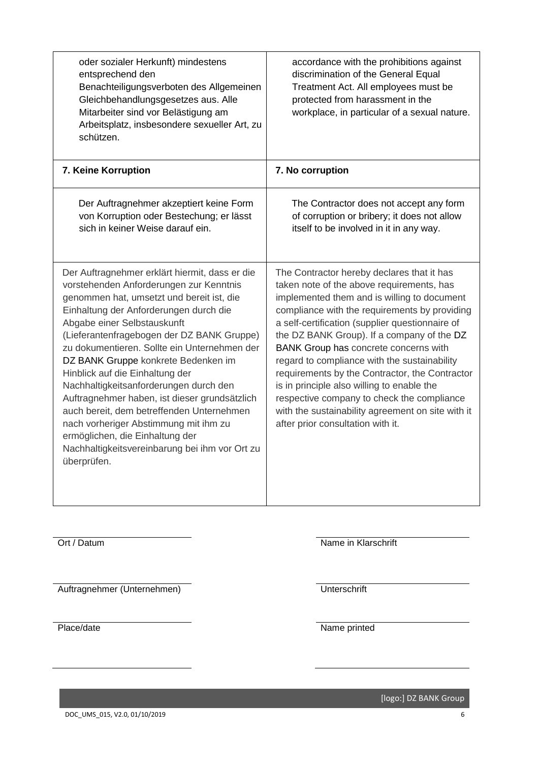| oder sozialer Herkunft) mindestens<br>entsprechend den<br>Benachteiligungsverboten des Allgemeinen<br>Gleichbehandlungsgesetzes aus. Alle<br>Mitarbeiter sind vor Belästigung am<br>Arbeitsplatz, insbesondere sexueller Art, zu<br>schützen.                                                                                                                                                                                                                                                                                                                                                                                                                                | accordance with the prohibitions against<br>discrimination of the General Equal<br>Treatment Act. All employees must be<br>protected from harassment in the<br>workplace, in particular of a sexual nature.                                                                                                                                                                                                                                                                                                                                                                                                               |
|------------------------------------------------------------------------------------------------------------------------------------------------------------------------------------------------------------------------------------------------------------------------------------------------------------------------------------------------------------------------------------------------------------------------------------------------------------------------------------------------------------------------------------------------------------------------------------------------------------------------------------------------------------------------------|---------------------------------------------------------------------------------------------------------------------------------------------------------------------------------------------------------------------------------------------------------------------------------------------------------------------------------------------------------------------------------------------------------------------------------------------------------------------------------------------------------------------------------------------------------------------------------------------------------------------------|
| 7. Keine Korruption                                                                                                                                                                                                                                                                                                                                                                                                                                                                                                                                                                                                                                                          | 7. No corruption                                                                                                                                                                                                                                                                                                                                                                                                                                                                                                                                                                                                          |
| Der Auftragnehmer akzeptiert keine Form<br>von Korruption oder Bestechung; er lässt<br>sich in keiner Weise darauf ein.                                                                                                                                                                                                                                                                                                                                                                                                                                                                                                                                                      | The Contractor does not accept any form<br>of corruption or bribery; it does not allow<br>itself to be involved in it in any way.                                                                                                                                                                                                                                                                                                                                                                                                                                                                                         |
| Der Auftragnehmer erklärt hiermit, dass er die<br>vorstehenden Anforderungen zur Kenntnis<br>genommen hat, umsetzt und bereit ist, die<br>Einhaltung der Anforderungen durch die<br>Abgabe einer Selbstauskunft<br>(Lieferantenfragebogen der DZ BANK Gruppe)<br>zu dokumentieren. Sollte ein Unternehmen der<br>DZ BANK Gruppe konkrete Bedenken im<br>Hinblick auf die Einhaltung der<br>Nachhaltigkeitsanforderungen durch den<br>Auftragnehmer haben, ist dieser grundsätzlich<br>auch bereit, dem betreffenden Unternehmen<br>nach vorheriger Abstimmung mit ihm zu<br>ermöglichen, die Einhaltung der<br>Nachhaltigkeitsvereinbarung bei ihm vor Ort zu<br>überprüfen. | The Contractor hereby declares that it has<br>taken note of the above requirements, has<br>implemented them and is willing to document<br>compliance with the requirements by providing<br>a self-certification (supplier questionnaire of<br>the DZ BANK Group). If a company of the DZ<br>BANK Group has concrete concerns with<br>regard to compliance with the sustainability<br>requirements by the Contractor, the Contractor<br>is in principle also willing to enable the<br>respective company to check the compliance<br>with the sustainability agreement on site with it<br>after prior consultation with it. |
| Ort / Datum                                                                                                                                                                                                                                                                                                                                                                                                                                                                                                                                                                                                                                                                  | Name in Klarschrift                                                                                                                                                                                                                                                                                                                                                                                                                                                                                                                                                                                                       |

Auftragnehmer (Unternehmen) Unterschrift

Place/date Name printed

[logo:] DZ BANK Group